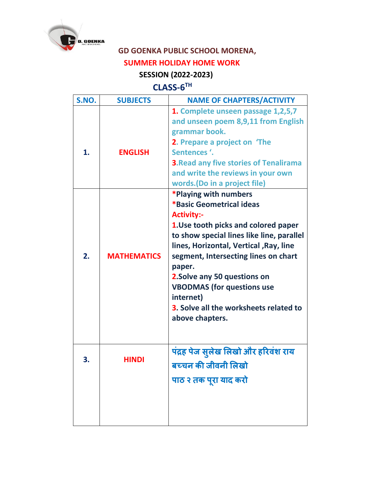

## **GD GOENKA PUBLIC SCHOOL MORENA,**

## **SUMMER HOLIDAY HOME WORK**

## **SESSION (2022-2023)**

## **CLASS-6 TH**

| S.NO. | <b>SUBJECTS</b>    | <b>NAME OF CHAPTERS/ACTIVITY</b>                                                                                                                                                                                                                                                                                                                                                                       |
|-------|--------------------|--------------------------------------------------------------------------------------------------------------------------------------------------------------------------------------------------------------------------------------------------------------------------------------------------------------------------------------------------------------------------------------------------------|
| 1.    | <b>ENGLISH</b>     | 1. Complete unseen passage 1,2,5,7<br>and unseen poem 8,9,11 from English<br>grammar book.<br>2. Prepare a project on 'The<br>Sentences '.<br><b>3. Read any five stories of Tenalirama</b><br>and write the reviews in your own<br>words.(Do in a project file)                                                                                                                                       |
| 2.    | <b>MATHEMATICS</b> | *Playing with numbers<br>*Basic Geometrical ideas<br><b>Activity:-</b><br>1. Use tooth picks and colored paper<br>to show special lines like line, parallel<br>lines, Horizontal, Vertical, Ray, line<br>segment, Intersecting lines on chart<br>paper.<br>2. Solve any 50 questions on<br><b>VBODMAS (for questions use</b><br>internet)<br>3. Solve all the worksheets related to<br>above chapters. |
| 3.    | <b>HINDI</b>       | पंद्रह पेज सुलेख लिखो और हरिवंश राय<br>बच्चन की जीवनी लिखो<br>पाठ २ तक पूरा याद करो                                                                                                                                                                                                                                                                                                                    |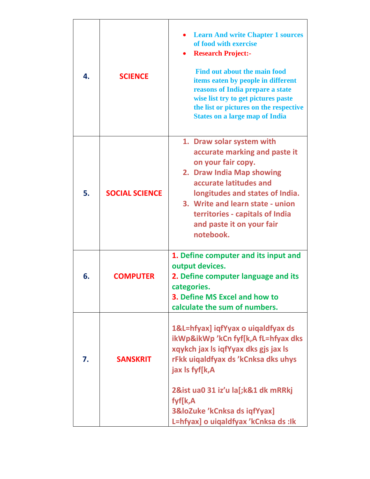| 4. | <b>SCIENCE</b>        | <b>Learn And write Chapter 1 sources</b><br>of food with exercise<br><b>Research Project:-</b><br><b>Find out about the main food</b><br>items eaten by people in different<br>reasons of India prepare a state<br>wise list try to get pictures paste<br>the list or pictures on the respective<br><b>States on a large map of India</b> |
|----|-----------------------|-------------------------------------------------------------------------------------------------------------------------------------------------------------------------------------------------------------------------------------------------------------------------------------------------------------------------------------------|
| 5. | <b>SOCIAL SCIENCE</b> | 1. Draw solar system with<br>accurate marking and paste it<br>on your fair copy.<br>2. Draw India Map showing<br>accurate latitudes and<br>longitudes and states of India.<br>3. Write and learn state - union<br>territories - capitals of India<br>and paste it on your fair<br>notebook.                                               |
| 6. | <b>COMPUTER</b>       | 1. Define computer and its input and<br>output devices.<br>2. Define computer language and its<br>categories.<br><b>3. Define MS Excel and how to</b><br>calculate the sum of numbers.                                                                                                                                                    |
| 7. | <b>SANSKRIT</b>       | 1&L=hfyax] iqfYyax o uiqaldfyax ds<br>ikWp&ikWp 'kCn fyf[k,A fL=hfyax dks<br>xqykch jax Is iqfYyax dks gjs jax Is<br>rFkk uigaldfyax ds 'kCnksa dks uhys<br>jax Is fyf[k,A<br>2&ist ua0 31 iz'u la[;k&1 dk mRRkj<br>fyf[k,A<br>3&loZuke 'kCnksa ds iqfYyax]<br>L=hfyax] o uiqaldfyax 'kCnksa ds :lk                                       |